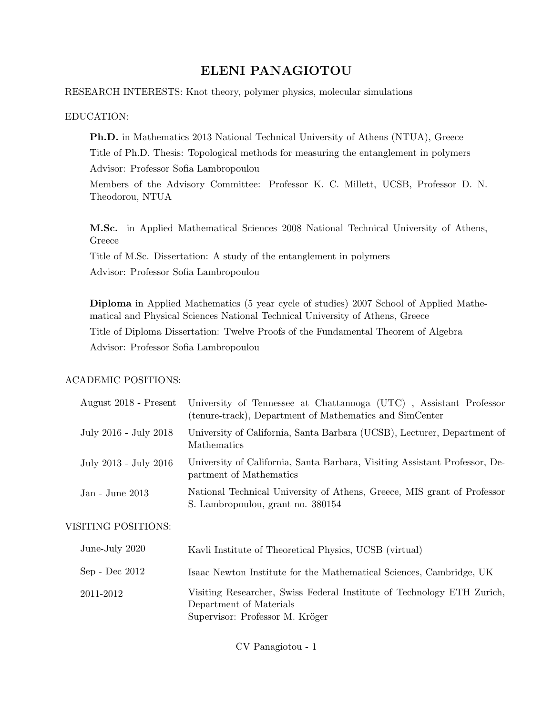# ELENI PANAGIOTOU

#### RESEARCH INTERESTS: Knot theory, polymer physics, molecular simulations

#### EDUCATION:

Ph.D. in Mathematics 2013 National Technical University of Athens (NTUA), Greece Title of Ph.D. Thesis: Topological methods for measuring the entanglement in polymers Advisor: Professor Sofia Lambropoulou

Members of the Advisory Committee: Professor K. C. Millett, UCSB, Professor D. N. Theodorou, NTUA

M.Sc. in Applied Mathematical Sciences 2008 National Technical University of Athens, Greece

Title of M.Sc. Dissertation: A study of the entanglement in polymers

Advisor: Professor Sofia Lambropoulou

Diploma in Applied Mathematics (5 year cycle of studies) 2007 School of Applied Mathematical and Physical Sciences National Technical University of Athens, Greece

Title of Diploma Dissertation: Twelve Proofs of the Fundamental Theorem of Algebra Advisor: Professor Sofia Lambropoulou

## ACADEMIC POSITIONS:

|                       | August 2018 - Present University of Tennessee at Chattanooga (UTC), Assistant Professor<br>(tenure-track), Department of Mathematics and SimCenter |
|-----------------------|----------------------------------------------------------------------------------------------------------------------------------------------------|
| July 2016 - July 2018 | University of California, Santa Barbara (UCSB), Lecturer, Department of<br>Mathematics                                                             |
| July 2013 - July 2016 | University of California, Santa Barbara, Visiting Assistant Professor, De-<br>partment of Mathematics                                              |
| Jan - June 2013       | National Technical University of Athens, Greece, MIS grant of Professor<br>S. Lambropoulou, grant no. 380154                                       |

## VISITING POSITIONS:

| June-July 2020 | Kavli Institute of Theoretical Physics, UCSB (virtual)                                                                               |
|----------------|--------------------------------------------------------------------------------------------------------------------------------------|
| Sep - Dec 2012 | Isaac Newton Institute for the Mathematical Sciences, Cambridge, UK                                                                  |
| 2011-2012      | Visiting Researcher, Swiss Federal Institute of Technology ETH Zurich,<br>Department of Materials<br>Supervisor: Professor M. Kröger |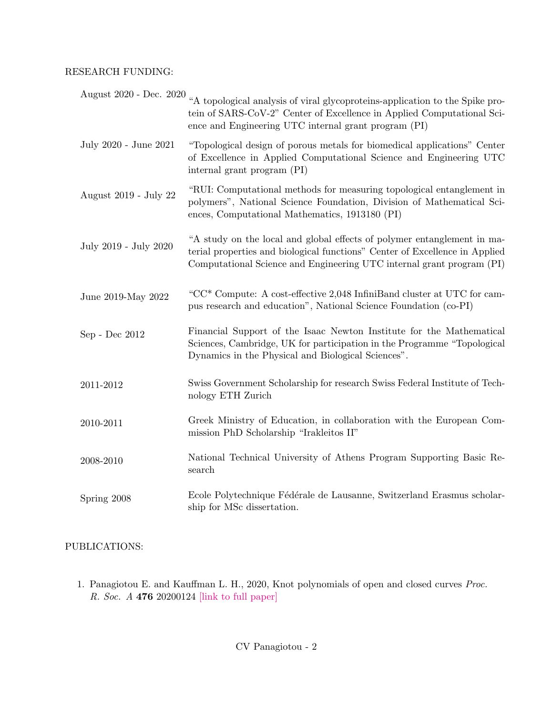#### RESEARCH FUNDING:

|                       | August 2020 - Dec. 2020 "A topological analysis of viral glycoproteins-application to the Spike pro-<br>tein of SARS-CoV-2" Center of Excellence in Applied Computational Sci-<br>ence and Engineering UTC internal grant program (PI) |
|-----------------------|----------------------------------------------------------------------------------------------------------------------------------------------------------------------------------------------------------------------------------------|
| July 2020 - June 2021 | "Topological design of porous metals for biomedical applications" Center<br>of Excellence in Applied Computational Science and Engineering UTC<br>internal grant program (PI)                                                          |
| August 2019 - July 22 | "RUI: Computational methods for measuring topological entanglement in<br>polymers", National Science Foundation, Division of Mathematical Sci-<br>ences, Computational Mathematics, 1913180 (PI)                                       |
| July 2019 - July 2020 | "A study on the local and global effects of polymer entanglement in ma-<br>terial properties and biological functions" Center of Excellence in Applied<br>Computational Science and Engineering UTC internal grant program (PI)        |
| June 2019-May 2022    | "CC* Compute: A cost-effective 2,048 InfiniBand cluster at UTC for cam-<br>pus research and education", National Science Foundation (co-PI)                                                                                            |
| Sep - Dec 2012        | Financial Support of the Isaac Newton Institute for the Mathematical<br>Sciences, Cambridge, UK for participation in the Programme "Topological<br>Dynamics in the Physical and Biological Sciences".                                  |
| $2011 - 2012$         | Swiss Government Scholarship for research Swiss Federal Institute of Tech-<br>nology ETH Zurich                                                                                                                                        |
| 2010-2011             | Greek Ministry of Education, in collaboration with the European Com-<br>mission PhD Scholarship "Irakleitos II"                                                                                                                        |
| 2008-2010             | National Technical University of Athens Program Supporting Basic Re-<br>search                                                                                                                                                         |
| Spring 2008           | Ecole Polytechnique Fédérale de Lausanne, Switzerland Erasmus scholar-<br>ship for MSc dissertation.                                                                                                                                   |

## PUBLICATIONS:

1. Panagiotou E. and Kauffman L. H., 2020, Knot polynomials of open and closed curves Proc. R. Soc. A 476 20200124 [\[link to full paper\]](https://royalsocietypublishing.org/doi/full/10.1098/rspa.2020.0124)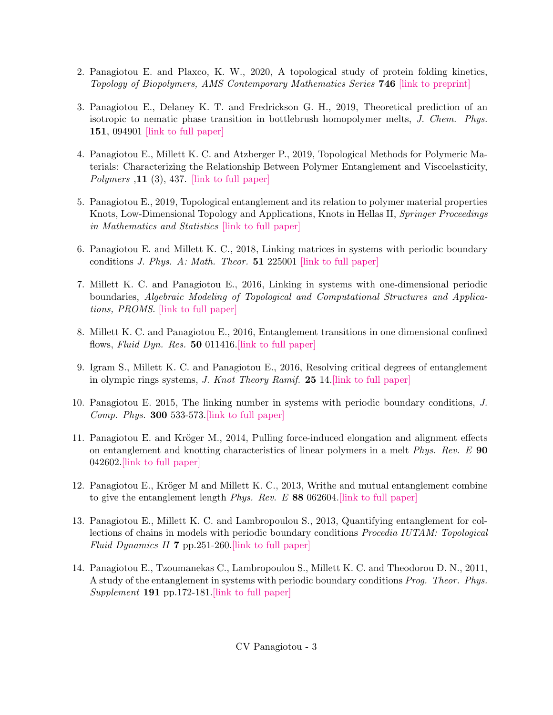- 2. Panagiotou E. and Plaxco, K. W., 2020, A topological study of protein folding kinetics, Topology of Biopolymers, AMS Contemporary Mathematics Series 746 [\[link to preprint\]](https://arxiv.org/abs/1812.08721)
- 3. Panagiotou E., Delaney K. T. and Fredrickson G. H., 2019, Theoretical prediction of an isotropic to nematic phase transition in bottlebrush homopolymer melts, J. Chem. Phys. 151, 094901 [\[link to full paper\]](https://aip.scitation.org/doi/10.1063/1.5114698)
- 4. Panagiotou E., Millett K. C. and Atzberger P., 2019, Topological Methods for Polymeric Materials: Characterizing the Relationship Between Polymer Entanglement and Viscoelasticity, Polymers ,  $11$  (3), 437. [\[link to full paper\]](https://www.mdpi.com/2073-4360/11/3/437/xml)
- 5. Panagiotou E., 2019, Topological entanglement and its relation to polymer material properties Knots, Low-Dimensional Topology and Applications, Knots in Hellas II, Springer Proceedings in Mathematics and Statistics [\[link to full paper\]](https://www.springer.com/gp/book/9783030160302)
- 6. Panagiotou E. and Millett K. C., 2018, Linking matrices in systems with periodic boundary conditions *J. Phys. A: Math. Theor.* **51** 225001 [\[link to full paper\]](https://doi.org/10.1088/1751-8121/aabd4b)
- 7. Millett K. C. and Panagiotou E., 2016, Linking in systems with one-dimensional periodic boundaries, Algebraic Modeling of Topological and Computational Structures and Applications, PROMS. [\[link to full paper\]](https://link.springer.com/chapter/10.1007/978-3-319-68103-0_11)
- 8. Millett K. C. and Panagiotou E., 2016, Entanglement transitions in one dimensional confined flows, Fluid Dyn. Res. 50 011416. [link to full paper]
- 9. Igram S., Millett K. C. and Panagiotou E., 2016, Resolving critical degrees of entanglement in olympic rings systems, J. Knot Theory Ramif. 25 14[.\[link to full paper\]](http://www.worldscientific.com/doi/abs/10.1142/S0218216516500814)
- 10. Panagiotou E. 2015, The linking number in systems with periodic boundary conditions, J. *Comp. Phys.* **300** 533-573. [link to full paper]
- 11. Panagiotou E. and Kröger M., 2014, Pulling force-induced elongation and alignment effects on entanglement and knotting characteristics of linear polymers in a melt *Phys. Rev.*  $E$  90 042602[.\[link to full paper\]](https://journals.aps.org/pre/abstract/10.1103/PhysRevE.90.042602)
- 12. Panagiotou E., Kröger M and Millett K. C., 2013, Writhe and mutual entanglement combine to give the entanglement length *Phys. Rev. E* 88 062604.  $\left[ \text{link to full paper} \right]$
- 13. Panagiotou E., Millett K. C. and Lambropoulou S., 2013, Quantifying entanglement for collections of chains in models with periodic boundary conditions Procedia IUTAM: Topological Fluid Dynamics II 7 pp.251-260[.\[link to full paper\]](http://www.sciencedirect.com/science/article/pii/S2210983813000539)
- 14. Panagiotou E., Tzoumanekas C., Lambropoulou S., Millett K. C. and Theodorou D. N., 2011, A study of the entanglement in systems with periodic boundary conditions Prog. Theor. Phys. Supplement 191 pp.172-181. link to full paper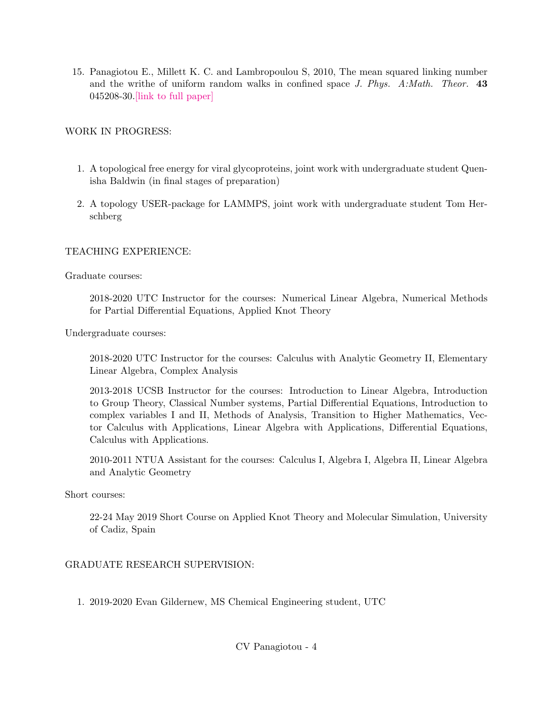15. Panagiotou E., Millett K. C. and Lambropoulou S, 2010, The mean squared linking number and the writhe of uniform random walks in confined space  $J. Phys. A: Math. Theor. 43$ 045208-30[.\[link to full paper\]](http://iopscience.iop.org/article/10.1088/1751-8113/43/4/045208/meta)

## WORK IN PROGRESS:

- 1. A topological free energy for viral glycoproteins, joint work with undergraduate student Quenisha Baldwin (in final stages of preparation)
- 2. A topology USER-package for LAMMPS, joint work with undergraduate student Tom Herschberg

#### TEACHING EXPERIENCE:

Graduate courses:

2018-2020 UTC Instructor for the courses: Numerical Linear Algebra, Numerical Methods for Partial Differential Equations, Applied Knot Theory

Undergraduate courses:

2018-2020 UTC Instructor for the courses: Calculus with Analytic Geometry II, Elementary Linear Algebra, Complex Analysis

2013-2018 UCSB Instructor for the courses: Introduction to Linear Algebra, Introduction to Group Theory, Classical Number systems, Partial Differential Equations, Introduction to complex variables I and II, Methods of Analysis, Transition to Higher Mathematics, Vector Calculus with Applications, Linear Algebra with Applications, Differential Equations, Calculus with Applications.

2010-2011 NTUA Assistant for the courses: Calculus I, Algebra I, Algebra II, Linear Algebra and Analytic Geometry

Short courses:

22-24 May 2019 Short Course on Applied Knot Theory and Molecular Simulation, University of Cadiz, Spain

#### GRADUATE RESEARCH SUPERVISION:

1. 2019-2020 Evan Gildernew, MS Chemical Engineering student, UTC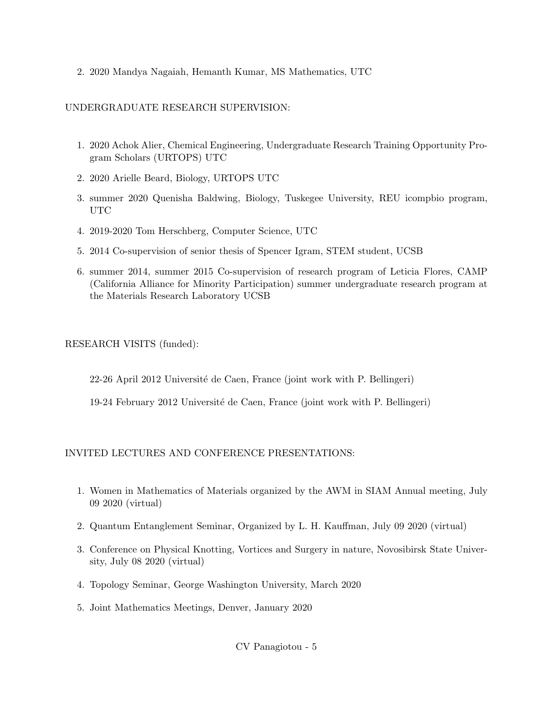2. 2020 Mandya Nagaiah, Hemanth Kumar, MS Mathematics, UTC

## UNDERGRADUATE RESEARCH SUPERVISION:

- 1. 2020 Achok Alier, Chemical Engineering, Undergraduate Research Training Opportunity Program Scholars (URTOPS) UTC
- 2. 2020 Arielle Beard, Biology, URTOPS UTC
- 3. summer 2020 Quenisha Baldwing, Biology, Tuskegee University, REU icompbio program, UTC
- 4. 2019-2020 Tom Herschberg, Computer Science, UTC
- 5. 2014 Co-supervision of senior thesis of Spencer Igram, STEM student, UCSB
- 6. summer 2014, summer 2015 Co-supervision of research program of Leticia Flores, CAMP (California Alliance for Minority Participation) summer undergraduate research program at the Materials Research Laboratory UCSB

## RESEARCH VISITS (funded):

22-26 April 2012 Universit´e de Caen, France (joint work with P. Bellingeri)

19-24 February 2012 Université de Caen, France (joint work with P. Bellingeri)

# INVITED LECTURES AND CONFERENCE PRESENTATIONS:

- 1. Women in Mathematics of Materials organized by the AWM in SIAM Annual meeting, July 09 2020 (virtual)
- 2. Quantum Entanglement Seminar, Organized by L. H. Kauffman, July 09 2020 (virtual)
- 3. Conference on Physical Knotting, Vortices and Surgery in nature, Novosibirsk State University, July 08 2020 (virtual)
- 4. Topology Seminar, George Washington University, March 2020
- 5. Joint Mathematics Meetings, Denver, January 2020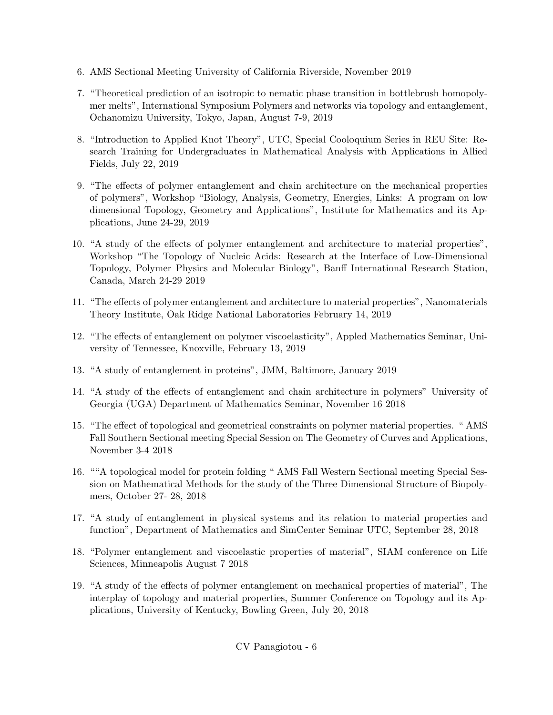- 6. AMS Sectional Meeting University of California Riverside, November 2019
- 7. "Theoretical prediction of an isotropic to nematic phase transition in bottlebrush homopolymer melts", International Symposium Polymers and networks via topology and entanglement, Ochanomizu University, Tokyo, Japan, August 7-9, 2019
- 8. "Introduction to Applied Knot Theory", UTC, Special Cooloquium Series in REU Site: Research Training for Undergraduates in Mathematical Analysis with Applications in Allied Fields, July 22, 2019
- 9. "The effects of polymer entanglement and chain architecture on the mechanical properties of polymers", Workshop "Biology, Analysis, Geometry, Energies, Links: A program on low dimensional Topology, Geometry and Applications", Institute for Mathematics and its Applications, June 24-29, 2019
- 10. "A study of the effects of polymer entanglement and architecture to material properties", Workshop "The Topology of Nucleic Acids: Research at the Interface of Low-Dimensional Topology, Polymer Physics and Molecular Biology", Banff International Research Station, Canada, March 24-29 2019
- 11. "The effects of polymer entanglement and architecture to material properties", Nanomaterials Theory Institute, Oak Ridge National Laboratories February 14, 2019
- 12. "The effects of entanglement on polymer viscoelasticity", Appled Mathematics Seminar, University of Tennessee, Knoxville, February 13, 2019
- 13. "A study of entanglement in proteins", JMM, Baltimore, January 2019
- 14. "A study of the effects of entanglement and chain architecture in polymers" University of Georgia (UGA) Department of Mathematics Seminar, November 16 2018
- 15. "The effect of topological and geometrical constraints on polymer material properties. " AMS Fall Southern Sectional meeting Special Session on The Geometry of Curves and Applications, November 3-4 2018
- 16. ""A topological model for protein folding " AMS Fall Western Sectional meeting Special Session on Mathematical Methods for the study of the Three Dimensional Structure of Biopolymers, October 27- 28, 2018
- 17. "A study of entanglement in physical systems and its relation to material properties and function", Department of Mathematics and SimCenter Seminar UTC, September 28, 2018
- 18. "Polymer entanglement and viscoelastic properties of material", SIAM conference on Life Sciences, Minneapolis August 7 2018
- 19. "A study of the effects of polymer entanglement on mechanical properties of material", The interplay of topology and material properties, Summer Conference on Topology and its Applications, University of Kentucky, Bowling Green, July 20, 2018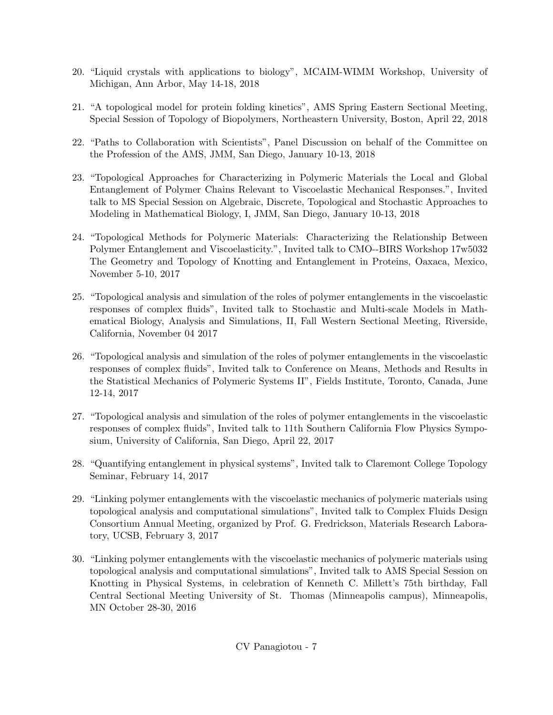- 20. "Liquid crystals with applications to biology", MCAIM-WIMM Workshop, University of Michigan, Ann Arbor, May 14-18, 2018
- 21. "A topological model for protein folding kinetics", AMS Spring Eastern Sectional Meeting, Special Session of Topology of Biopolymers, Northeastern University, Boston, April 22, 2018
- 22. "Paths to Collaboration with Scientists", Panel Discussion on behalf of the Committee on the Profession of the AMS, JMM, San Diego, January 10-13, 2018
- 23. "Topological Approaches for Characterizing in Polymeric Materials the Local and Global Entanglement of Polymer Chains Relevant to Viscoelastic Mechanical Responses.", Invited talk to MS Special Session on Algebraic, Discrete, Topological and Stochastic Approaches to Modeling in Mathematical Biology, I, JMM, San Diego, January 10-13, 2018
- 24. "Topological Methods for Polymeric Materials: Characterizing the Relationship Between Polymer Entanglement and Viscoelasticity.", Invited talk to CMO--BIRS Workshop 17w5032 The Geometry and Topology of Knotting and Entanglement in Proteins, Oaxaca, Mexico, November 5-10, 2017
- 25. "Topological analysis and simulation of the roles of polymer entanglements in the viscoelastic responses of complex fluids", Invited talk to Stochastic and Multi-scale Models in Mathematical Biology, Analysis and Simulations, II, Fall Western Sectional Meeting, Riverside, California, November 04 2017
- 26. "Topological analysis and simulation of the roles of polymer entanglements in the viscoelastic responses of complex fluids", Invited talk to Conference on Means, Methods and Results in the Statistical Mechanics of Polymeric Systems II", Fields Institute, Toronto, Canada, June 12-14, 2017
- 27. "Topological analysis and simulation of the roles of polymer entanglements in the viscoelastic responses of complex fluids", Invited talk to 11th Southern California Flow Physics Symposium, University of California, San Diego, April 22, 2017
- 28. "Quantifying entanglement in physical systems", Invited talk to Claremont College Topology Seminar, February 14, 2017
- 29. "Linking polymer entanglements with the viscoelastic mechanics of polymeric materials using topological analysis and computational simulations", Invited talk to Complex Fluids Design Consortium Annual Meeting, organized by Prof. G. Fredrickson, Materials Research Laboratory, UCSB, February 3, 2017
- 30. "Linking polymer entanglements with the viscoelastic mechanics of polymeric materials using topological analysis and computational simulations", Invited talk to AMS Special Session on Knotting in Physical Systems, in celebration of Kenneth C. Millett's 75th birthday, Fall Central Sectional Meeting University of St. Thomas (Minneapolis campus), Minneapolis, MN October 28-30, 2016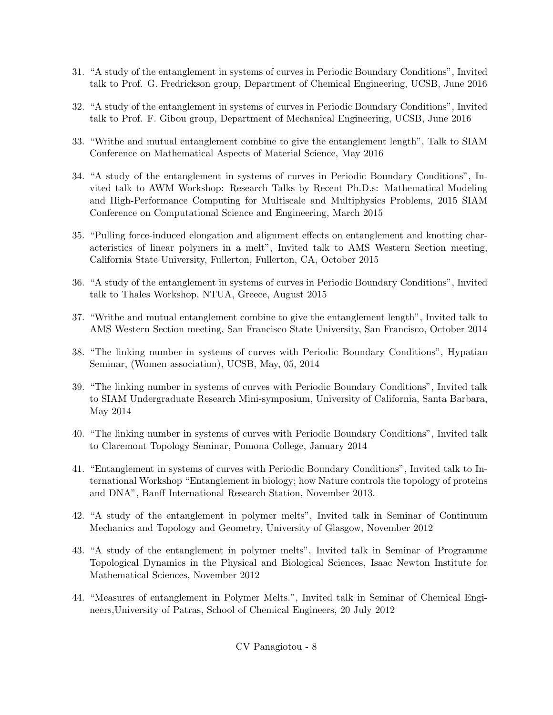- 31. "A study of the entanglement in systems of curves in Periodic Boundary Conditions", Invited talk to Prof. G. Fredrickson group, Department of Chemical Engineering, UCSB, June 2016
- 32. "A study of the entanglement in systems of curves in Periodic Boundary Conditions", Invited talk to Prof. F. Gibou group, Department of Mechanical Engineering, UCSB, June 2016
- 33. "Writhe and mutual entanglement combine to give the entanglement length", Talk to SIAM Conference on Mathematical Aspects of Material Science, May 2016
- 34. "A study of the entanglement in systems of curves in Periodic Boundary Conditions", Invited talk to AWM Workshop: Research Talks by Recent Ph.D.s: Mathematical Modeling and High-Performance Computing for Multiscale and Multiphysics Problems, 2015 SIAM Conference on Computational Science and Engineering, March 2015
- 35. "Pulling force-induced elongation and alignment effects on entanglement and knotting characteristics of linear polymers in a melt", Invited talk to AMS Western Section meeting, California State University, Fullerton, Fullerton, CA, October 2015
- 36. "A study of the entanglement in systems of curves in Periodic Boundary Conditions", Invited talk to Thales Workshop, NTUA, Greece, August 2015
- 37. "Writhe and mutual entanglement combine to give the entanglement length", Invited talk to AMS Western Section meeting, San Francisco State University, San Francisco, October 2014
- 38. "The linking number in systems of curves with Periodic Boundary Conditions", Hypatian Seminar, (Women association), UCSB, May, 05, 2014
- 39. "The linking number in systems of curves with Periodic Boundary Conditions", Invited talk to SIAM Undergraduate Research Mini-symposium, University of California, Santa Barbara, May 2014
- 40. "The linking number in systems of curves with Periodic Boundary Conditions", Invited talk to Claremont Topology Seminar, Pomona College, January 2014
- 41. "Entanglement in systems of curves with Periodic Boundary Conditions", Invited talk to International Workshop "Entanglement in biology; how Nature controls the topology of proteins and DNA", Banff International Research Station, November 2013.
- 42. "A study of the entanglement in polymer melts", Invited talk in Seminar of Continuum Mechanics and Topology and Geometry, University of Glasgow, November 2012
- 43. "A study of the entanglement in polymer melts", Invited talk in Seminar of Programme Topological Dynamics in the Physical and Biological Sciences, Isaac Newton Institute for Mathematical Sciences, November 2012
- 44. "Measures of entanglement in Polymer Melts.", Invited talk in Seminar of Chemical Engineers,University of Patras, School of Chemical Engineers, 20 July 2012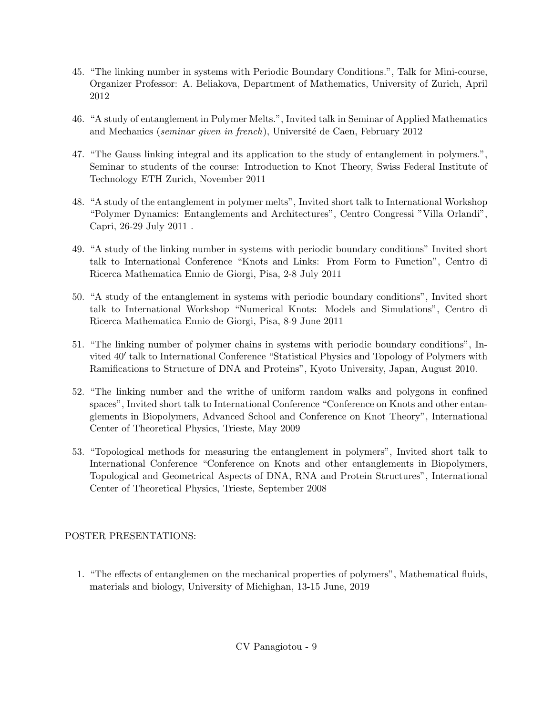- 45. "The linking number in systems with Periodic Boundary Conditions.", Talk for Mini-course, Organizer Professor: A. Beliakova, Department of Mathematics, University of Zurich, April 2012
- 46. "A study of entanglement in Polymer Melts.", Invited talk in Seminar of Applied Mathematics and Mechanics (seminar given in french), Université de Caen, February 2012
- 47. "The Gauss linking integral and its application to the study of entanglement in polymers.", Seminar to students of the course: Introduction to Knot Theory, Swiss Federal Institute of Technology ETH Zurich, November 2011
- 48. "A study of the entanglement in polymer melts", Invited short talk to International Workshop "Polymer Dynamics: Entanglements and Architectures", Centro Congressi "Villa Orlandi", Capri, 26-29 July 2011 .
- 49. "A study of the linking number in systems with periodic boundary conditions" Invited short talk to International Conference "Knots and Links: From Form to Function", Centro di Ricerca Mathematica Ennio de Giorgi, Pisa, 2-8 July 2011
- 50. "A study of the entanglement in systems with periodic boundary conditions", Invited short talk to International Workshop "Numerical Knots: Models and Simulations", Centro di Ricerca Mathematica Ennio de Giorgi, Pisa, 8-9 June 2011
- 51. "The linking number of polymer chains in systems with periodic boundary conditions", Invited 40' talk to International Conference "Statistical Physics and Topology of Polymers with Ramifications to Structure of DNA and Proteins", Kyoto University, Japan, August 2010.
- 52. "The linking number and the writhe of uniform random walks and polygons in confined spaces", Invited short talk to International Conference "Conference on Knots and other entanglements in Biopolymers, Advanced School and Conference on Knot Theory", International Center of Theoretical Physics, Trieste, May 2009
- 53. "Topological methods for measuring the entanglement in polymers", Invited short talk to International Conference "Conference on Knots and other entanglements in Biopolymers, Topological and Geometrical Aspects of DNA, RNA and Protein Structures", International Center of Theoretical Physics, Trieste, September 2008

## POSTER PRESENTATIONS:

1. "The effects of entanglemen on the mechanical properties of polymers", Mathematical fluids, materials and biology, University of Michighan, 13-15 June, 2019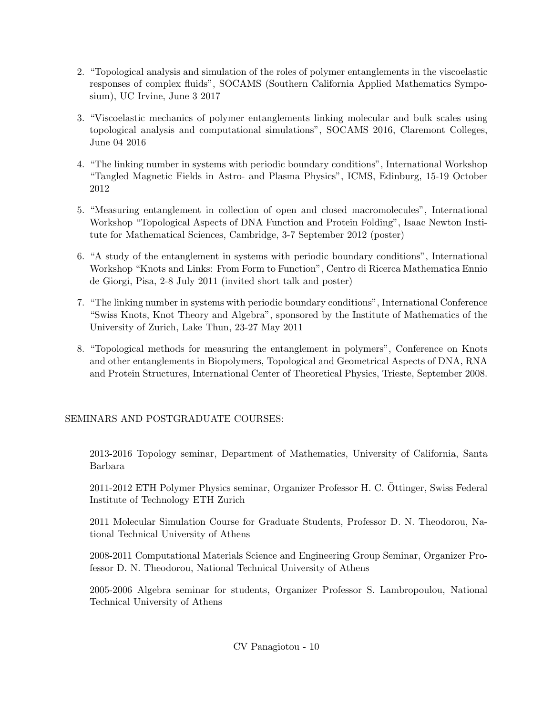- 2. "Topological analysis and simulation of the roles of polymer entanglements in the viscoelastic responses of complex fluids", SOCAMS (Southern California Applied Mathematics Symposium), UC Irvine, June 3 2017
- 3. "Viscoelastic mechanics of polymer entanglements linking molecular and bulk scales using topological analysis and computational simulations", SOCAMS 2016, Claremont Colleges, June 04 2016
- 4. "The linking number in systems with periodic boundary conditions", International Workshop "Tangled Magnetic Fields in Astro- and Plasma Physics", ICMS, Edinburg, 15-19 October 2012
- 5. "Measuring entanglement in collection of open and closed macromolecules", International Workshop "Topological Aspects of DNA Function and Protein Folding", Isaac Newton Institute for Mathematical Sciences, Cambridge, 3-7 September 2012 (poster)
- 6. "A study of the entanglement in systems with periodic boundary conditions", International Workshop "Knots and Links: From Form to Function", Centro di Ricerca Mathematica Ennio de Giorgi, Pisa, 2-8 July 2011 (invited short talk and poster)
- 7. "The linking number in systems with periodic boundary conditions", International Conference "Swiss Knots, Knot Theory and Algebra", sponsored by the Institute of Mathematics of the University of Zurich, Lake Thun, 23-27 May 2011
- 8. "Topological methods for measuring the entanglement in polymers", Conference on Knots and other entanglements in Biopolymers, Topological and Geometrical Aspects of DNA, RNA and Protein Structures, International Center of Theoretical Physics, Trieste, September 2008.

SEMINARS AND POSTGRADUATE COURSES:

2013-2016 Topology seminar, Department of Mathematics, University of California, Santa Barbara

2011-2012 ETH Polymer Physics seminar, Organizer Professor H. C. Ottinger, Swiss Federal ¨ Institute of Technology ETH Zurich

2011 Molecular Simulation Course for Graduate Students, Professor D. N. Theodorou, National Technical University of Athens

2008-2011 Computational Materials Science and Engineering Group Seminar, Organizer Professor D. N. Theodorou, National Technical University of Athens

2005-2006 Algebra seminar for students, Organizer Professor S. Lambropoulou, National Technical University of Athens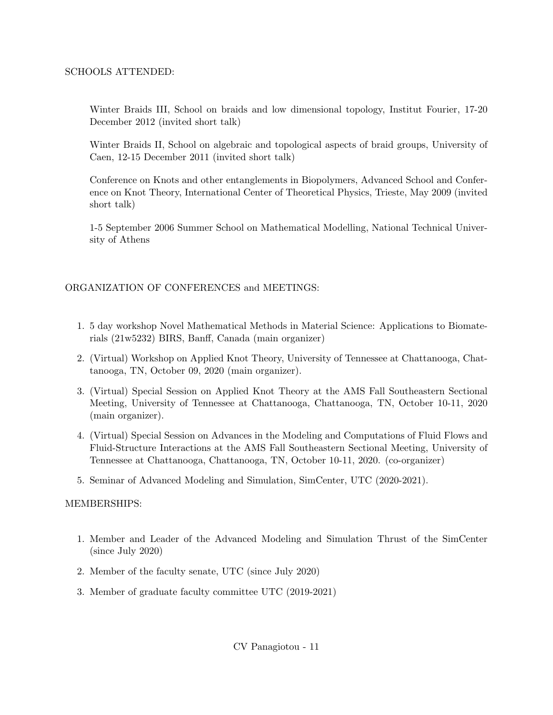#### SCHOOLS ATTENDED:

Winter Braids III, School on braids and low dimensional topology, Institut Fourier, 17-20 December 2012 (invited short talk)

Winter Braids II, School on algebraic and topological aspects of braid groups, University of Caen, 12-15 December 2011 (invited short talk)

Conference on Knots and other entanglements in Biopolymers, Advanced School and Conference on Knot Theory, International Center of Theoretical Physics, Trieste, May 2009 (invited short talk)

1-5 September 2006 Summer School on Mathematical Modelling, National Technical University of Athens

#### ORGANIZATION OF CONFERENCES and MEETINGS:

- 1. 5 day workshop Novel Mathematical Methods in Material Science: Applications to Biomaterials (21w5232) BIRS, Banff, Canada (main organizer)
- 2. (Virtual) Workshop on Applied Knot Theory, University of Tennessee at Chattanooga, Chattanooga, TN, October 09, 2020 (main organizer).
- 3. (Virtual) Special Session on Applied Knot Theory at the AMS Fall Southeastern Sectional Meeting, University of Tennessee at Chattanooga, Chattanooga, TN, October 10-11, 2020 (main organizer).
- 4. (Virtual) Special Session on Advances in the Modeling and Computations of Fluid Flows and Fluid-Structure Interactions at the AMS Fall Southeastern Sectional Meeting, University of Tennessee at Chattanooga, Chattanooga, TN, October 10-11, 2020. (co-organizer)
- 5. Seminar of Advanced Modeling and Simulation, SimCenter, UTC (2020-2021).

#### MEMBERSHIPS:

- 1. Member and Leader of the Advanced Modeling and Simulation Thrust of the SimCenter (since July 2020)
- 2. Member of the faculty senate, UTC (since July 2020)
- 3. Member of graduate faculty committee UTC (2019-2021)